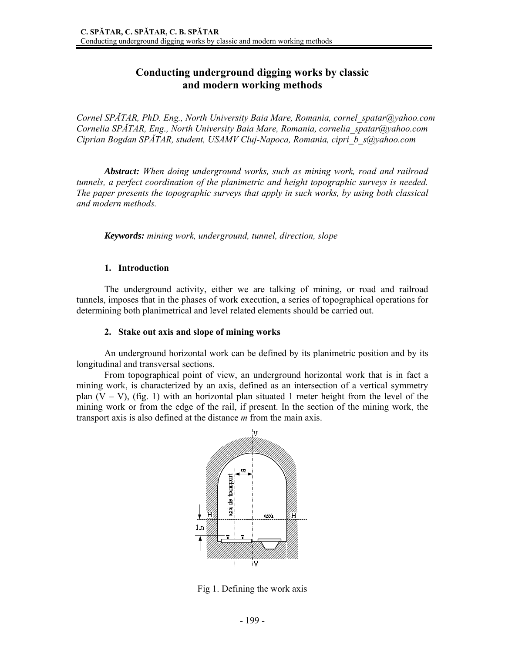# **Conducting underground digging works by classic and modern working methods**

*Cornel SPĂTAR, PhD. Eng., North University Baia Mare, Romania, cornel\_spatar@yahoo.com Cornelia SPĂTAR, Eng., North University Baia Mare, Romania, cornelia\_spatar@yahoo.com Ciprian Bogdan SPĂTAR, student, USAMV Cluj-Napoca, Romania, cipri\_b\_s@yahoo.com* 

*Abstract: When doing underground works, such as mining work, road and railroad tunnels, a perfect coordination of the planimetric and height topographic surveys is needed. The paper presents the topographic surveys that apply in such works, by using both classical and modern methods.* 

*Keywords: mining work, underground, tunnel, direction, slope* 

### **1. Introduction**

 The underground activity, either we are talking of mining, or road and railroad tunnels, imposes that in the phases of work execution, a series of topographical operations for determining both planimetrical and level related elements should be carried out.

#### **2. Stake out axis and slope of mining works**

An underground horizontal work can be defined by its planimetric position and by its longitudinal and transversal sections.

From topographical point of view, an underground horizontal work that is in fact a mining work, is characterized by an axis, defined as an intersection of a vertical symmetry plan  $(V - V)$ , (fig. 1) with an horizontal plan situated 1 meter height from the level of the mining work or from the edge of the rail, if present. In the section of the mining work, the transport axis is also defined at the distance *m* from the main axis.



Fig 1. Defining the work axis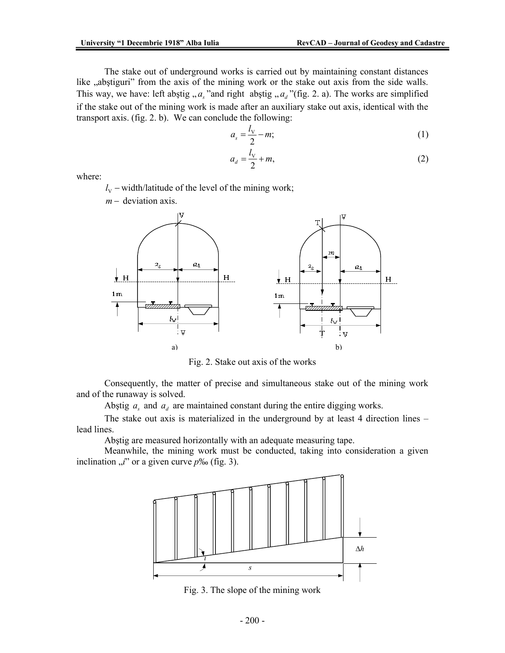The stake out of underground works is carried out by maintaining constant distances like "abstiguri" from the axis of the mining work or the stake out axis from the side walls. This way, we have: left abstig  $, a_s$  "and right abstig  $, a_d$  "(fig. 2. a). The works are simplified if the stake out of the mining work is made after an auxiliary stake out axis, identical with the transport axis. (fig. 2. b). We can conclude the following:

$$
a_s = \frac{l_v}{2} - m; \tag{1}
$$

$$
a_d = \frac{l_v}{2} + m,\tag{2}
$$

where:

<sup>V</sup>*l* − width/latitude of the level of the mining work;

*m* − deviation axis.



Fig. 2. Stake out axis of the works

Consequently, the matter of precise and simultaneous stake out of the mining work and of the runaway is solved.

Abstig  $a_s$  and  $a_d$  are maintained constant during the entire digging works.

 The stake out axis is materialized in the underground by at least 4 direction lines – lead lines.

Abştig are measured horizontally with an adequate measuring tape.

 Meanwhile, the mining work must be conducted, taking into consideration a given inclination  $\mu$ <sup>"</sup> or a given curve  $p\%$  (fig. 3).



Fig. 3. The slope of the mining work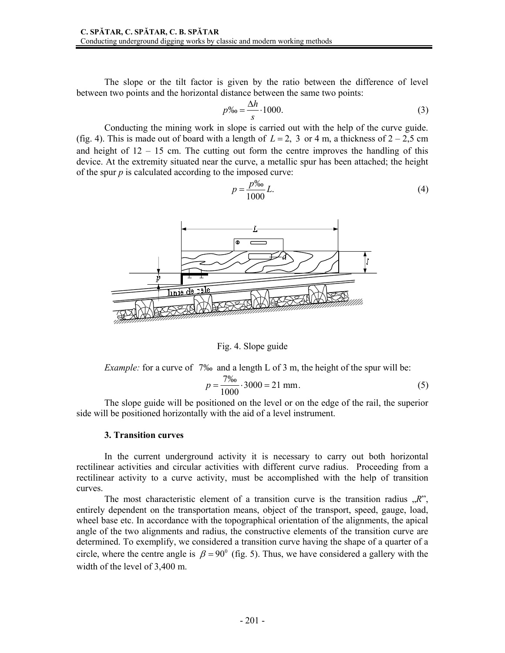The slope or the tilt factor is given by the ratio between the difference of level between two points and the horizontal distance between the same two points:

$$
p\% = \frac{\Delta h}{s} \cdot 1000. \tag{3}
$$

Conducting the mining work in slope is carried out with the help of the curve guide. (fig. 4). This is made out of board with a length of  $L = 2$ , 3 or 4 m, a thickness of  $2 - 2.5$  cm and height of  $12 - 15$  cm. The cutting out form the centre improves the handling of this device. At the extremity situated near the curve, a metallic spur has been attached; the height of the spur  $p$  is calculated according to the imposed curve:

$$
p = \frac{p\%}{1000}L.\tag{4}
$$



Fig. 4. Slope guide

*Example:* for a curve of 7‰ and a length L of 3 m, the height of the spur will be:

$$
p = \frac{7\%}{1000} \cdot 3000 = 21 \text{ mm}.
$$
 (5)

The slope guide will be positioned on the level or on the edge of the rail, the superior side will be positioned horizontally with the aid of a level instrument.

### **3. Transition curves**

In the current underground activity it is necessary to carry out both horizontal rectilinear activities and circular activities with different curve radius. Proceeding from a rectilinear activity to a curve activity, must be accomplished with the help of transition curves.

The most characteristic element of a transition curve is the transition radius  $R$ , entirely dependent on the transportation means, object of the transport, speed, gauge, load, wheel base etc. In accordance with the topographical orientation of the alignments, the apical angle of the two alignments and radius, the constructive elements of the transition curve are determined. To exemplify, we considered a transition curve having the shape of a quarter of a circle, where the centre angle is  $\beta = 90^{\circ}$  (fig. 5). Thus, we have considered a gallery with the width of the level of 3,400 m.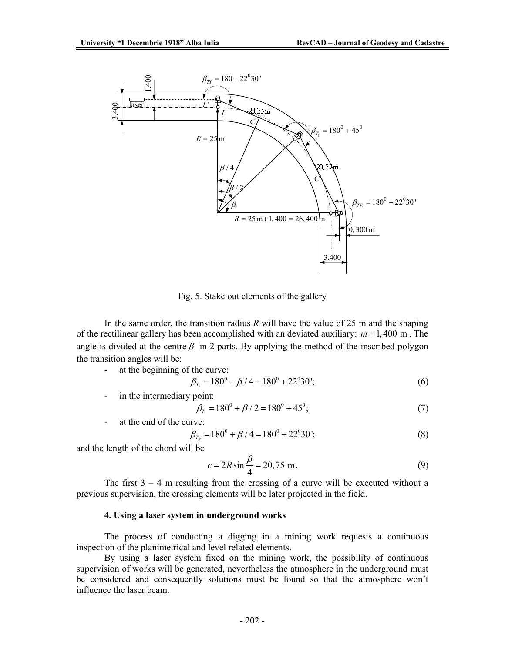

Fig. 5. Stake out elements of the gallery

 In the same order, the transition radius *R* will have the value of 25 m and the shaping of the rectilinear gallery has been accomplished with an deviated auxiliary: *m* =1, 400 m . The angle is divided at the centre  $\beta$  in 2 parts. By applying the method of the inscribed polygon the transition angles will be:

at the beginning of the curve:

$$
\beta_{T_i} = 180^0 + \beta / 4 = 180^0 + 22^0 30^i; \tag{6}
$$

in the intermediary point:

$$
\beta_{T_1} = 180^0 + \beta / 2 = 180^0 + 45^0; \tag{7}
$$

at the end of the curve:  
\n
$$
\beta_{T_E} = 180^0 + \beta / 4 = 180^0 + 22^0 30';
$$
\n(8)

and the length of the chord will be

$$
c = 2R\sin\frac{\beta}{4} = 20,75 \text{ m}.
$$
 (9)

The first  $3 - 4$  m resulting from the crossing of a curve will be executed without a previous supervision, the crossing elements will be later projected in the field.

#### **4. Using a laser system in underground works**

 The process of conducting a digging in a mining work requests a continuous inspection of the planimetrical and level related elements.

By using a laser system fixed on the mining work, the possibility of continuous supervision of works will be generated, nevertheless the atmosphere in the underground must be considered and consequently solutions must be found so that the atmosphere won't influence the laser beam.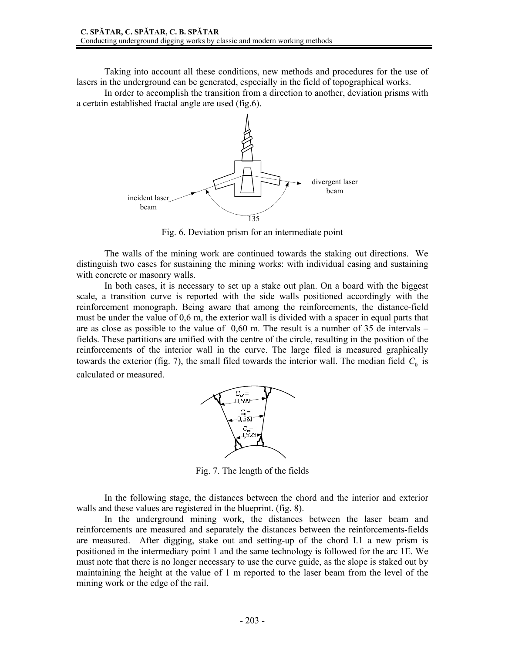Taking into account all these conditions, new methods and procedures for the use of lasers in the underground can be generated, especially in the field of topographical works.

 In order to accomplish the transition from a direction to another, deviation prisms with a certain established fractal angle are used (fig.6).



Fig. 6. Deviation prism for an intermediate point

 The walls of the mining work are continued towards the staking out directions. We distinguish two cases for sustaining the mining works: with individual casing and sustaining with concrete or masonry walls.

In both cases, it is necessary to set up a stake out plan. On a board with the biggest scale, a transition curve is reported with the side walls positioned accordingly with the reinforcement monograph. Being aware that among the reinforcements, the distance-field must be under the value of 0,6 m, the exterior wall is divided with a spacer in equal parts that are as close as possible to the value of  $0.60$  m. The result is a number of 35 de intervals – fields. These partitions are unified with the centre of the circle, resulting in the position of the reinforcements of the interior wall in the curve. The large filed is measured graphically towards the exterior (fig. 7), the small filed towards the interior wall. The median field  $C_0$  is calculated or measured.



Fig. 7. The length of the fields

In the following stage, the distances between the chord and the interior and exterior walls and these values are registered in the blueprint. (fig. 8).

 In the underground mining work, the distances between the laser beam and reinforcements are measured and separately the distances between the reinforcements-fields are measured. After digging, stake out and setting-up of the chord I.1 a new prism is positioned in the intermediary point 1 and the same technology is followed for the arc 1E. We must note that there is no longer necessary to use the curve guide, as the slope is staked out by maintaining the height at the value of 1 m reported to the laser beam from the level of the mining work or the edge of the rail.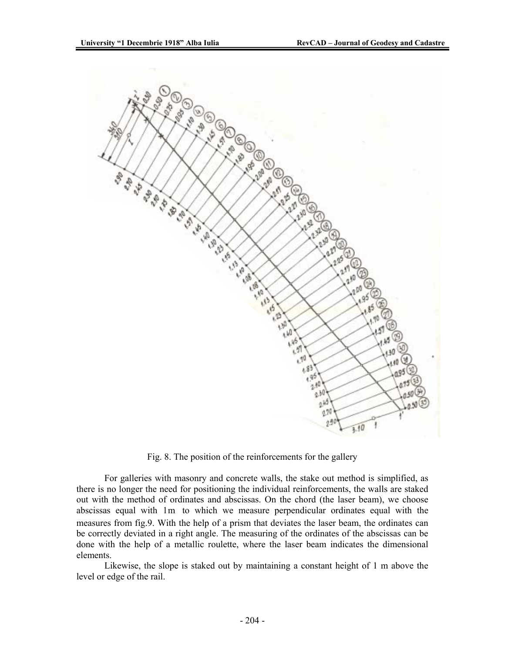

Fig. 8. The position of the reinforcements for the gallery

For galleries with masonry and concrete walls, the stake out method is simplified, as there is no longer the need for positioning the individual reinforcements, the walls are staked out with the method of ordinates and abscissas. On the chord (the laser beam), we choose abscissas equal with 1m to which we measure perpendicular ordinates equal with the measures from fig.9. With the help of a prism that deviates the laser beam, the ordinates can be correctly deviated in a right angle. The measuring of the ordinates of the abscissas can be done with the help of a metallic roulette, where the laser beam indicates the dimensional elements.

Likewise, the slope is staked out by maintaining a constant height of 1 m above the level or edge of the rail.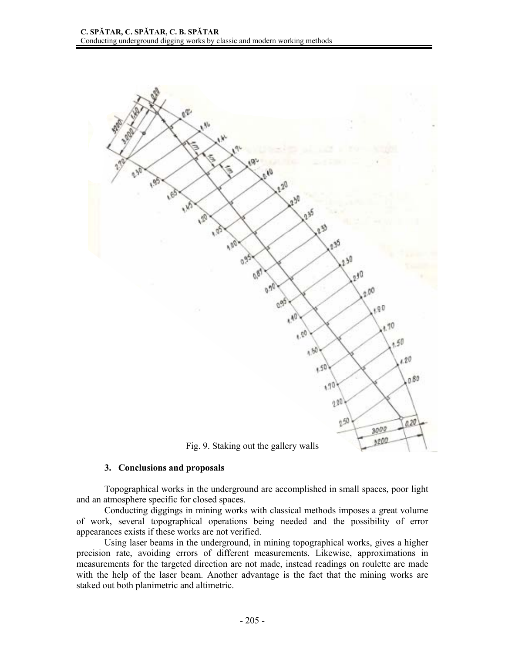

### **3. Conclusions and proposals**

Topographical works in the underground are accomplished in small spaces, poor light and an atmosphere specific for closed spaces.

 Conducting diggings in mining works with classical methods imposes a great volume of work, several topographical operations being needed and the possibility of error appearances exists if these works are not verified.

 Using laser beams in the underground, in mining topographical works, gives a higher precision rate, avoiding errors of different measurements. Likewise, approximations in measurements for the targeted direction are not made, instead readings on roulette are made with the help of the laser beam. Another advantage is the fact that the mining works are staked out both planimetric and altimetric.